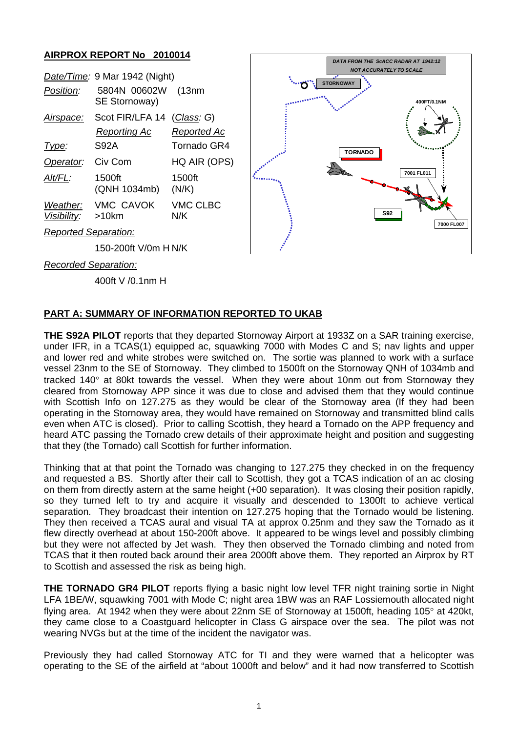### **AIRPROX REPORT No 2010014**

|                             |                                                                |                        | <b>NOT ACCURATELY TO SCALE</b> |                  |             |
|-----------------------------|----------------------------------------------------------------|------------------------|--------------------------------|------------------|-------------|
| Position:                   | Date/Time: 9 Mar 1942 (Night)<br>5804N 00602W<br>SE Stornoway) | (13nm)                 |                                | <b>STORNOWAY</b> | 400FT/0.1NN |
| Airspace:                   | Scot FIR/LFA 14 (Class: G)                                     |                        |                                |                  |             |
|                             | <b>Reporting Ac</b>                                            | <b>Reported Ac</b>     |                                |                  |             |
| Type:                       | <b>S92A</b>                                                    | <b>Tornado GR4</b>     |                                | <b>TORNADO</b>   |             |
| Operator:                   | Civ Com                                                        | HQ AIR (OPS)           |                                | 杉                |             |
| Alt/FL:                     | 1500ft<br>(QNH 1034mb)                                         | 1500ft<br>(N/K)        |                                |                  | 7001 FL011  |
| Weather:<br>Visibility:     | <b>VMC CAVOK</b><br>>10km                                      | <b>VMC CLBC</b><br>N/K |                                | <b>S92</b>       |             |
| <b>Reported Separation:</b> |                                                                |                        |                                |                  | 700         |
| 150-200ft V/0m H N/K        |                                                                |                        |                                |                  |             |

*Recorded Separation:*

400ft V /0.1nm H

# **PART A: SUMMARY OF INFORMATION REPORTED TO UKAB**

**THE S92A PILOT** reports that they departed Stornoway Airport at 1933Z on a SAR training exercise, under IFR, in a TCAS(1) equipped ac, squawking 7000 with Modes C and S; nav lights and upper and lower red and white strobes were switched on. The sortie was planned to work with a surface vessel 23nm to the SE of Stornoway. They climbed to 1500ft on the Stornoway QNH of 1034mb and tracked 140° at 80kt towards the vessel. When they were about 10nm out from Stornoway they cleared from Stornoway APP since it was due to close and advised them that they would continue with Scottish Info on 127.275 as they would be clear of the Stornoway area (If they had been operating in the Stornoway area, they would have remained on Stornoway and transmitted blind calls even when ATC is closed). Prior to calling Scottish, they heard a Tornado on the APP frequency and heard ATC passing the Tornado crew details of their approximate height and position and suggesting that they (the Tornado) call Scottish for further information.

**7000 FL007**

*DATA FROM THE ScACC RADAR AT 1942:12*

Thinking that at that point the Tornado was changing to 127.275 they checked in on the frequency and requested a BS. Shortly after their call to Scottish, they got a TCAS indication of an ac closing on them from directly astern at the same height (+00 separation). It was closing their position rapidly, so they turned left to try and acquire it visually and descended to 1300ft to achieve vertical separation. They broadcast their intention on 127.275 hoping that the Tornado would be listening. They then received a TCAS aural and visual TA at approx 0.25nm and they saw the Tornado as it flew directly overhead at about 150-200ft above. It appeared to be wings level and possibly climbing but they were not affected by Jet wash. They then observed the Tornado climbing and noted from TCAS that it then routed back around their area 2000ft above them. They reported an Airprox by RT to Scottish and assessed the risk as being high.

**THE TORNADO GR4 PILOT** reports flying a basic night low level TFR night training sortie in Night LFA 1BE/W, squawking 7001 with Mode C; night area 1BW was an RAF Lossiemouth allocated night flying area. At 1942 when they were about 22nm SE of Stornoway at 1500ft, heading 105° at 420kt, they came close to a Coastguard helicopter in Class G airspace over the sea. The pilot was not wearing NVGs but at the time of the incident the navigator was.

Previously they had called Stornoway ATC for TI and they were warned that a helicopter was operating to the SE of the airfield at "about 1000ft and below" and it had now transferred to Scottish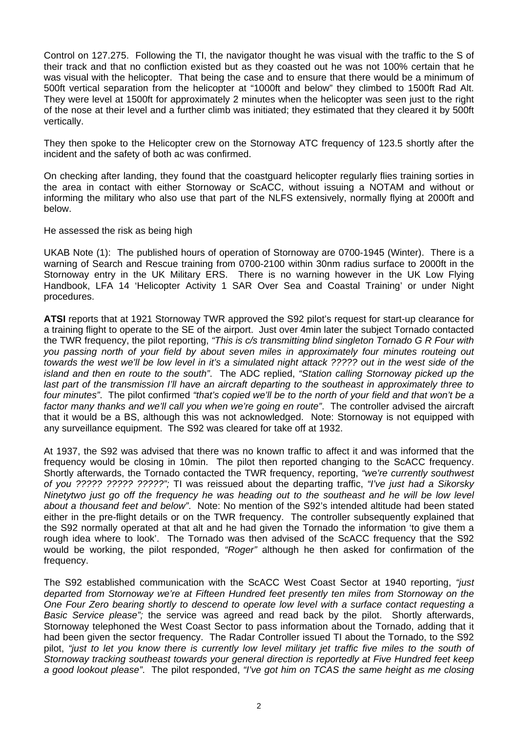Control on 127.275. Following the TI, the navigator thought he was visual with the traffic to the S of their track and that no confliction existed but as they coasted out he was not 100% certain that he was visual with the helicopter. That being the case and to ensure that there would be a minimum of 500ft vertical separation from the helicopter at "1000ft and below" they climbed to 1500ft Rad Alt. They were level at 1500ft for approximately 2 minutes when the helicopter was seen just to the right of the nose at their level and a further climb was initiated; they estimated that they cleared it by 500ft vertically.

They then spoke to the Helicopter crew on the Stornoway ATC frequency of 123.5 shortly after the incident and the safety of both ac was confirmed.

On checking after landing, they found that the coastguard helicopter regularly flies training sorties in the area in contact with either Stornoway or ScACC, without issuing a NOTAM and without or informing the military who also use that part of the NLFS extensively, normally flying at 2000ft and below.

He assessed the risk as being high

UKAB Note (1): The published hours of operation of Stornoway are 0700-1945 (Winter). There is a warning of Search and Rescue training from 0700-2100 within 30nm radius surface to 2000ft in the Stornoway entry in the UK Military ERS. There is no warning however in the UK Low Flying Handbook, LFA 14 'Helicopter Activity 1 SAR Over Sea and Coastal Training' or under Night procedures.

**ATSI** reports that at 1921 Stornoway TWR approved the S92 pilot's request for start-up clearance for a training flight to operate to the SE of the airport. Just over 4min later the subject Tornado contacted the TWR frequency, the pilot reporting, *"This is c/s transmitting blind singleton Tornado G R Four with you passing north of your field by about seven miles in approximately four minutes routeing out towards the west we'll be low level in it's a simulated night attack ????? out in the west side of the island and then en route to the south"*. The ADC replied, *"Station calling Stornoway picked up the last part of the transmission I'll have an aircraft departing to the southeast in approximately three to four minutes"*. The pilot confirmed *"that's copied we'll be to the north of your field and that won't be a factor many thanks and we'll call you when we're going en route"*. The controller advised the aircraft that it would be a BS, although this was not acknowledged. Note: Stornoway is not equipped with any surveillance equipment. The S92 was cleared for take off at 1932.

At 1937, the S92 was advised that there was no known traffic to affect it and was informed that the frequency would be closing in 10min. The pilot then reported changing to the ScACC frequency. Shortly afterwards, the Tornado contacted the TWR frequency, reporting, *"we're currently southwest of you ????? ????? ?????";* TI was reissued about the departing traffic, *"I've just had a Sikorsky Ninetytwo just go off the frequency he was heading out to the southeast and he will be low level about a thousand feet and below"*. Note: No mention of the S92's intended altitude had been stated either in the pre-flight details or on the TWR frequency. The controller subsequently explained that the S92 normally operated at that alt and he had given the Tornado the information 'to give them a rough idea where to look'. The Tornado was then advised of the ScACC frequency that the S92 would be working, the pilot responded, *"Roger"* although he then asked for confirmation of the frequency.

The S92 established communication with the ScACC West Coast Sector at 1940 reporting, *"just departed from Stornoway we're at Fifteen Hundred feet presently ten miles from Stornoway on the One Four Zero bearing shortly to descend to operate low level with a surface contact requesting a Basic Service please";* the service was agreed and read back by the pilot. Shortly afterwards, Stornoway telephoned the West Coast Sector to pass information about the Tornado, adding that it had been given the sector frequency. The Radar Controller issued TI about the Tornado, to the S92 pilot, *"just to let you know there is currently low level military jet traffic five miles to the south of Stornoway tracking southeast towards your general direction is reportedly at Five Hundred feet keep a good lookout please"*. The pilot responded, *"I've got him on TCAS the same height as me closing*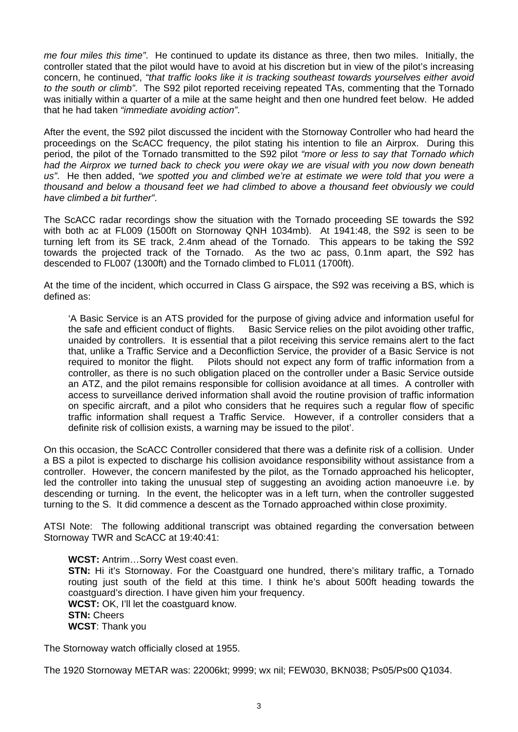*me four miles this time"*. He continued to update its distance as three, then two miles. Initially, the controller stated that the pilot would have to avoid at his discretion but in view of the pilot's increasing concern, he continued, *"that traffic looks like it is tracking southeast towards yourselves either avoid to the south or climb"*. The S92 pilot reported receiving repeated TAs, commenting that the Tornado was initially within a quarter of a mile at the same height and then one hundred feet below. He added that he had taken *"immediate avoiding action"*.

After the event, the S92 pilot discussed the incident with the Stornoway Controller who had heard the proceedings on the ScACC frequency, the pilot stating his intention to file an Airprox. During this period, the pilot of the Tornado transmitted to the S92 pilot *"more or less to say that Tornado which had the Airprox we turned back to check you were okay we are visual with you now down beneath*  us". He then added, "we spotted you and climbed we're at estimate we were told that you were a *thousand and below a thousand feet we had climbed to above a thousand feet obviously we could have climbed a bit further"*.

The ScACC radar recordings show the situation with the Tornado proceeding SE towards the S92 with both ac at FL009 (1500ft on Stornoway QNH 1034mb). At 1941:48, the S92 is seen to be turning left from its SE track, 2.4nm ahead of the Tornado. This appears to be taking the S92 towards the projected track of the Tornado. As the two ac pass, 0.1nm apart, the S92 has descended to FL007 (1300ft) and the Tornado climbed to FL011 (1700ft).

At the time of the incident, which occurred in Class G airspace, the S92 was receiving a BS, which is defined as:

'A Basic Service is an ATS provided for the purpose of giving advice and information useful for the safe and efficient conduct of flights. Basic Service relies on the pilot avoiding other traffic, unaided by controllers. It is essential that a pilot receiving this service remains alert to the fact that, unlike a Traffic Service and a Deconfliction Service, the provider of a Basic Service is not required to monitor the flight. Pilots should not expect any form of traffic information from a controller, as there is no such obligation placed on the controller under a Basic Service outside an ATZ, and the pilot remains responsible for collision avoidance at all times. A controller with access to surveillance derived information shall avoid the routine provision of traffic information on specific aircraft, and a pilot who considers that he requires such a regular flow of specific traffic information shall request a Traffic Service. However, if a controller considers that a definite risk of collision exists, a warning may be issued to the pilot'.

On this occasion, the ScACC Controller considered that there was a definite risk of a collision. Under a BS a pilot is expected to discharge his collision avoidance responsibility without assistance from a controller. However, the concern manifested by the pilot, as the Tornado approached his helicopter, led the controller into taking the unusual step of suggesting an avoiding action manoeuvre i.e. by descending or turning. In the event, the helicopter was in a left turn, when the controller suggested turning to the S. It did commence a descent as the Tornado approached within close proximity.

ATSI Note: The following additional transcript was obtained regarding the conversation between Stornoway TWR and ScACC at 19:40:41:

**WCST:** Antrim…Sorry West coast even. **STN:** Hi it's Stornoway. For the Coastguard one hundred, there's military traffic, a Tornado routing just south of the field at this time. I think he's about 500ft heading towards the coastguard's direction. I have given him your frequency. **WCST:** OK, I'll let the coastguard know. **STN:** Cheers **WCST**: Thank you

The Stornoway watch officially closed at 1955.

The 1920 Stornoway METAR was: 22006kt; 9999; wx nil; FEW030, BKN038; Ps05/Ps00 Q1034.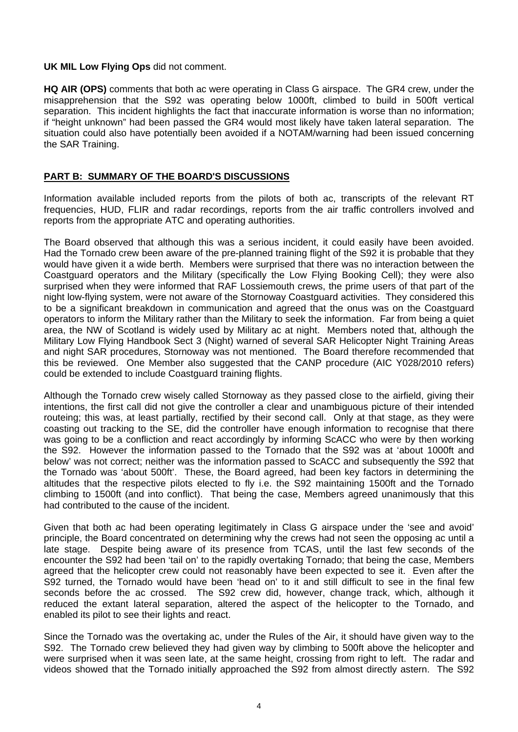#### **UK MIL Low Flying Ops** did not comment.

**HQ AIR (OPS)** comments that both ac were operating in Class G airspace. The GR4 crew, under the misapprehension that the S92 was operating below 1000ft, climbed to build in 500ft vertical separation. This incident highlights the fact that inaccurate information is worse than no information; if "height unknown" had been passed the GR4 would most likely have taken lateral separation. The situation could also have potentially been avoided if a NOTAM/warning had been issued concerning the SAR Training.

### **PART B: SUMMARY OF THE BOARD'S DISCUSSIONS**

Information available included reports from the pilots of both ac, transcripts of the relevant RT frequencies, HUD, FLIR and radar recordings, reports from the air traffic controllers involved and reports from the appropriate ATC and operating authorities.

The Board observed that although this was a serious incident, it could easily have been avoided. Had the Tornado crew been aware of the pre-planned training flight of the S92 it is probable that they would have given it a wide berth. Members were surprised that there was no interaction between the Coastguard operators and the Military (specifically the Low Flying Booking Cell); they were also surprised when they were informed that RAF Lossiemouth crews, the prime users of that part of the night low-flying system, were not aware of the Stornoway Coastguard activities. They considered this to be a significant breakdown in communication and agreed that the onus was on the Coastguard operators to inform the Military rather than the Military to seek the information. Far from being a quiet area, the NW of Scotland is widely used by Military ac at night. Members noted that, although the Military Low Flying Handbook Sect 3 (Night) warned of several SAR Helicopter Night Training Areas and night SAR procedures, Stornoway was not mentioned. The Board therefore recommended that this be reviewed. One Member also suggested that the CANP procedure (AIC Y028/2010 refers) could be extended to include Coastguard training flights.

Although the Tornado crew wisely called Stornoway as they passed close to the airfield, giving their intentions, the first call did not give the controller a clear and unambiguous picture of their intended routeing; this was, at least partially, rectified by their second call. Only at that stage, as they were coasting out tracking to the SE, did the controller have enough information to recognise that there was going to be a confliction and react accordingly by informing ScACC who were by then working the S92. However the information passed to the Tornado that the S92 was at 'about 1000ft and below' was not correct; neither was the information passed to ScACC and subsequently the S92 that the Tornado was 'about 500ft'. These, the Board agreed, had been key factors in determining the altitudes that the respective pilots elected to fly i.e. the S92 maintaining 1500ft and the Tornado climbing to 1500ft (and into conflict). That being the case, Members agreed unanimously that this had contributed to the cause of the incident.

Given that both ac had been operating legitimately in Class G airspace under the 'see and avoid' principle, the Board concentrated on determining why the crews had not seen the opposing ac until a late stage. Despite being aware of its presence from TCAS, until the last few seconds of the encounter the S92 had been 'tail on' to the rapidly overtaking Tornado; that being the case, Members agreed that the helicopter crew could not reasonably have been expected to see it. Even after the S92 turned, the Tornado would have been 'head on' to it and still difficult to see in the final few seconds before the ac crossed. The S92 crew did, however, change track, which, although it reduced the extant lateral separation, altered the aspect of the helicopter to the Tornado, and enabled its pilot to see their lights and react.

Since the Tornado was the overtaking ac, under the Rules of the Air, it should have given way to the S92. The Tornado crew believed they had given way by climbing to 500ft above the helicopter and were surprised when it was seen late, at the same height, crossing from right to left. The radar and videos showed that the Tornado initially approached the S92 from almost directly astern. The S92